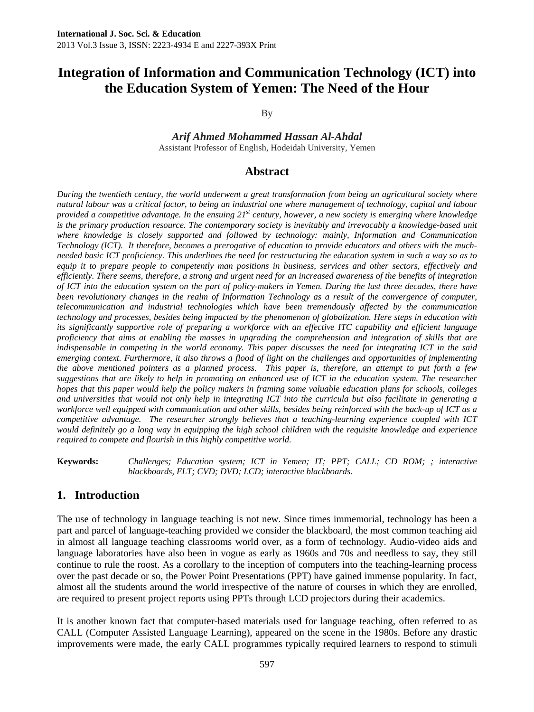By

*Arif Ahmed Mohammed Hassan Al-Ahdal*  Assistant Professor of English, Hodeidah University, Yemen

#### **Abstract**

*During the twentieth century, the world underwent a great transformation from being an agricultural society where natural labour was a critical factor, to being an industrial one where management of technology, capital and labour provided a competitive advantage. In the ensuing 21st century, however, a new society is emerging where knowledge is the primary production resource. The contemporary society is inevitably and irrevocably a knowledge-based unit where knowledge is closely supported and followed by technology: mainly, Information and Communication Technology (ICT). It therefore, becomes a prerogative of education to provide educators and others with the muchneeded basic ICT proficiency. This underlines the need for restructuring the education system in such a way so as to*  equip it to prepare people to competently man positions in business, services and other sectors, effectively and *efficiently. There seems, therefore, a strong and urgent need for an increased awareness of the benefits of integration of ICT into the education system on the part of policy-makers in Yemen. During the last three decades, there have*  been revolutionary changes in the realm of Information Technology as a result of the convergence of computer, *telecommunication and industrial technologies which have been tremendously affected by the communication technology and processes, besides being impacted by the phenomenon of globalization. Here steps in education with its significantly supportive role of preparing a workforce with an effective ITC capability and efficient language proficiency that aims at enabling the masses in upgrading the comprehension and integration of skills that are indispensable in competing in the world economy. This paper discusses the need for integrating ICT in the said emerging context. Furthermore, it also throws a flood of light on the challenges and opportunities of implementing the above mentioned pointers as a planned process. This paper is, therefore, an attempt to put forth a few*  suggestions that are likely to help in promoting an enhanced use of ICT in the education system. The researcher *hopes that this paper would help the policy makers in framing some valuable education plans for schools, colleges and universities that would not only help in integrating ICT into the curricula but also facilitate in generating a workforce well equipped with communication and other skills, besides being reinforced with the back-up of ICT as a competitive advantage. The researcher strongly believes that a teaching-learning experience coupled with ICT would definitely go a long way in equipping the high school children with the requisite knowledge and experience required to compete and flourish in this highly competitive world.* 

**Keywords:** *Challenges; Education system; ICT in Yemen; IT; PPT; CALL; CD ROM; ; interactive blackboards, ELT; CVD; DVD; LCD; interactive blackboards.* 

# **1. Introduction**

The use of technology in language teaching is not new. Since times immemorial, technology has been a part and parcel of language-teaching provided we consider the blackboard, the most common teaching aid in almost all language teaching classrooms world over, as a form of technology. Audio-video aids and language laboratories have also been in vogue as early as 1960s and 70s and needless to say, they still continue to rule the roost. As a corollary to the inception of computers into the teaching-learning process over the past decade or so, the Power Point Presentations (PPT) have gained immense popularity. In fact, almost all the students around the world irrespective of the nature of courses in which they are enrolled, are required to present project reports using PPTs through LCD projectors during their academics.

It is another known fact that computer-based materials used for language teaching, often referred to as CALL (Computer Assisted Language Learning), appeared on the scene in the 1980s. Before any drastic improvements were made, the early CALL programmes typically required learners to respond to stimuli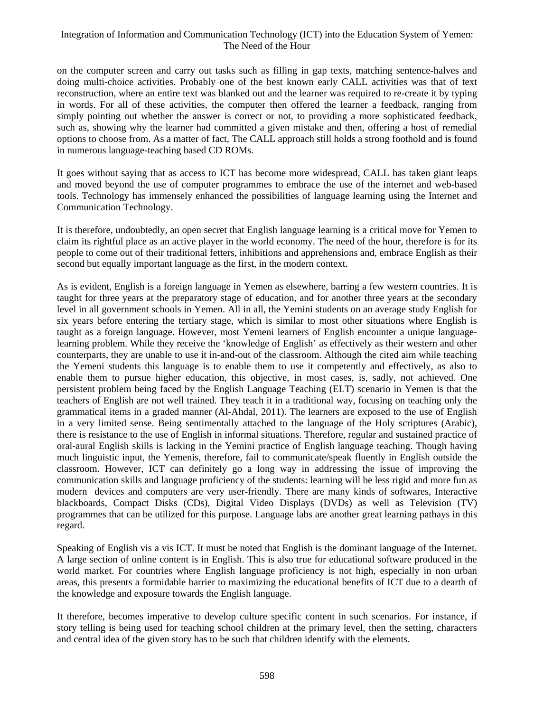on the computer screen and carry out tasks such as filling in gap texts, matching sentence-halves and doing multi-choice activities. Probably one of the best known early CALL activities was that of text reconstruction, where an entire text was blanked out and the learner was required to re-create it by typing in words. For all of these activities, the computer then offered the learner a feedback, ranging from simply pointing out whether the answer is correct or not, to providing a more sophisticated feedback, such as, showing why the learner had committed a given mistake and then, offering a host of remedial options to choose from. As a matter of fact, The CALL approach still holds a strong foothold and is found in numerous language-teaching based CD ROMs.

It goes without saying that as access to ICT has become more widespread, CALL has taken giant leaps and moved beyond the use of computer programmes to embrace the use of the internet and web-based tools. Technology has immensely enhanced the possibilities of language learning using the Internet and Communication Technology.

It is therefore, undoubtedly, an open secret that English language learning is a critical move for Yemen to claim its rightful place as an active player in the world economy. The need of the hour, therefore is for its people to come out of their traditional fetters, inhibitions and apprehensions and, embrace English as their second but equally important language as the first, in the modern context.

As is evident, English is a foreign language in Yemen as elsewhere, barring a few western countries. It is taught for three years at the preparatory stage of education, and for another three years at the secondary level in all government schools in Yemen. All in all, the Yemini students on an average study English for six years before entering the tertiary stage, which is similar to most other situations where English is taught as a foreign language. However, most Yemeni learners of English encounter a unique languagelearning problem. While they receive the 'knowledge of English' as effectively as their western and other counterparts, they are unable to use it in-and-out of the classroom. Although the cited aim while teaching the Yemeni students this language is to enable them to use it competently and effectively, as also to enable them to pursue higher education, this objective, in most cases, is, sadly, not achieved. One persistent problem being faced by the English Language Teaching (ELT) scenario in Yemen is that the teachers of English are not well trained. They teach it in a traditional way, focusing on teaching only the grammatical items in a graded manner (Al-Ahdal, 2011). The learners are exposed to the use of English in a very limited sense. Being sentimentally attached to the language of the Holy scriptures (Arabic), there is resistance to the use of English in informal situations. Therefore, regular and sustained practice of oral-aural English skills is lacking in the Yemini practice of English language teaching. Though having much linguistic input, the Yemenis, therefore, fail to communicate/speak fluently in English outside the classroom. However, ICT can definitely go a long way in addressing the issue of improving the communication skills and language proficiency of the students: learning will be less rigid and more fun as modern devices and computers are very user-friendly. There are many kinds of softwares, Interactive blackboards, Compact Disks (CDs), Digital Video Displays (DVDs) as well as Television (TV) programmes that can be utilized for this purpose. Language labs are another great learning pathays in this regard.

Speaking of English vis a vis ICT. It must be noted that English is the dominant language of the Internet. A large section of online content is in English. This is also true for educational software produced in the world market. For countries where English language proficiency is not high, especially in non urban areas, this presents a formidable barrier to maximizing the educational benefits of ICT due to a dearth of the knowledge and exposure towards the English language.

It therefore, becomes imperative to develop culture specific content in such scenarios. For instance, if story telling is being used for teaching school children at the primary level, then the setting, characters and central idea of the given story has to be such that children identify with the elements.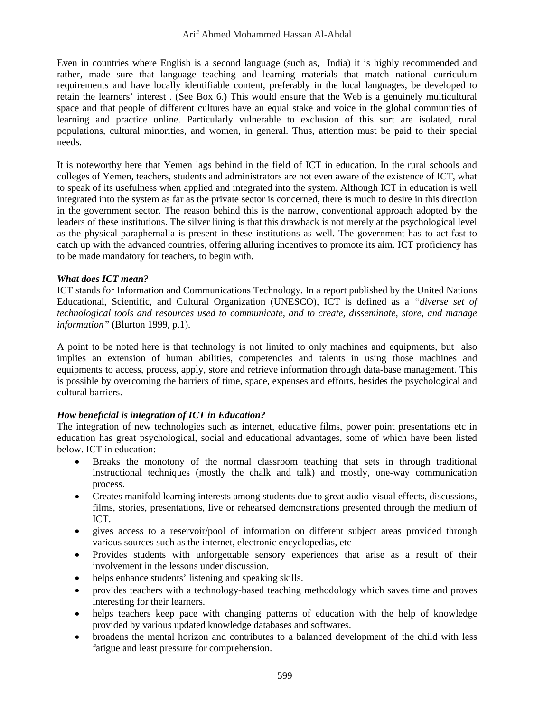Even in countries where English is a second language (such as, India) it is highly recommended and rather, made sure that language teaching and learning materials that match national curriculum requirements and have locally identifiable content, preferably in the local languages, be developed to retain the learners' interest . (See Box 6.) This would ensure that the Web is a genuinely multicultural space and that people of different cultures have an equal stake and voice in the global communities of learning and practice online. Particularly vulnerable to exclusion of this sort are isolated, rural populations, cultural minorities, and women, in general. Thus, attention must be paid to their special needs.

It is noteworthy here that Yemen lags behind in the field of ICT in education. In the rural schools and colleges of Yemen, teachers, students and administrators are not even aware of the existence of ICT, what to speak of its usefulness when applied and integrated into the system. Although ICT in education is well integrated into the system as far as the private sector is concerned, there is much to desire in this direction in the government sector. The reason behind this is the narrow, conventional approach adopted by the leaders of these institutions. The silver lining is that this drawback is not merely at the psychological level as the physical paraphernalia is present in these institutions as well. The government has to act fast to catch up with the advanced countries, offering alluring incentives to promote its aim. ICT proficiency has to be made mandatory for teachers, to begin with.

#### *What does ICT mean?*

ICT stands for Information and Communications Technology. In a report published by the United Nations Educational, Scientific, and Cultural Organization (UNESCO), ICT is defined as a *"diverse set of technological tools and resources used to communicate, and to create, disseminate, store, and manage information"* (Blurton 1999, p.1).

A point to be noted here is that technology is not limited to only machines and equipments, but also implies an extension of human abilities, competencies and talents in using those machines and equipments to access, process, apply, store and retrieve information through data-base management. This is possible by overcoming the barriers of time, space, expenses and efforts, besides the psychological and cultural barriers.

#### *How beneficial is integration of ICT in Education?*

The integration of new technologies such as internet, educative films, power point presentations etc in education has great psychological, social and educational advantages, some of which have been listed below. ICT in education:

- Breaks the monotony of the normal classroom teaching that sets in through traditional instructional techniques (mostly the chalk and talk) and mostly, one-way communication process.
- Creates manifold learning interests among students due to great audio-visual effects, discussions, films, stories, presentations, live or rehearsed demonstrations presented through the medium of ICT.
- gives access to a reservoir/pool of information on different subject areas provided through various sources such as the internet, electronic encyclopedias, etc
- Provides students with unforgettable sensory experiences that arise as a result of their involvement in the lessons under discussion.
- helps enhance students' listening and speaking skills.
- provides teachers with a technology-based teaching methodology which saves time and proves interesting for their learners.
- helps teachers keep pace with changing patterns of education with the help of knowledge provided by various updated knowledge databases and softwares.
- broadens the mental horizon and contributes to a balanced development of the child with less fatigue and least pressure for comprehension.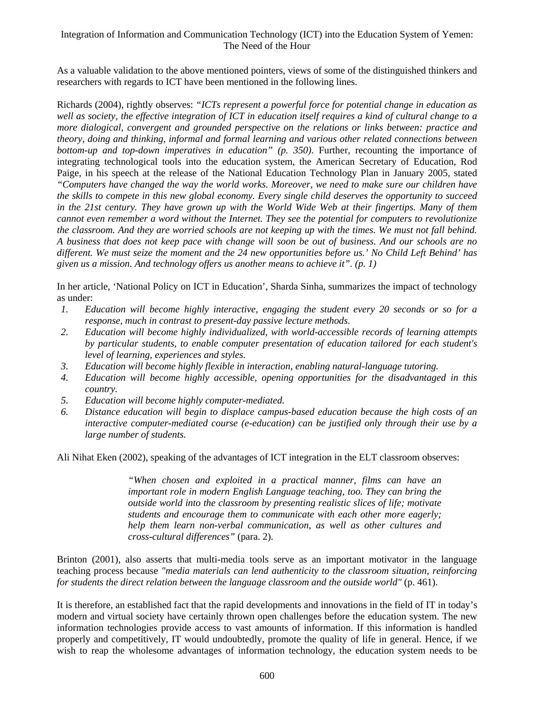As a valuable validation to the above mentioned pointers, views of some of the distinguished thinkers and researchers with regards to ICT have been mentioned in the following lines.

Richards (2004), rightly observes: *"ICTs represent a powerful force for potential change in education as*  well as society, the effective integration of ICT in education itself requires a kind of cultural change to a *more dialogical, convergent and grounded perspective on the relations or links between: practice and theory, doing and thinking, informal and formal learning and various other related connections between bottom-up and top-down imperatives in education" (p. 350)*. Further, recounting the importance of integrating technological tools into the education system, the American Secretary of Education, Rod Paige, in his speech at the release of the National Education Technology Plan in January 2005, stated *"Computers have changed the way the world works. Moreover, we need to make sure our children have the skills to compete in this new global economy. Every single child deserves the opportunity to succeed*  in the 21st century. They have grown up with the World Wide Web at their fingertips. Many of them *cannot even remember a word without the Internet. They see the potential for computers to revolutionize the classroom. And they are worried schools are not keeping up with the times. We must not fall behind. A business that does not keep pace with change will soon be out of business. And our schools are no different. We must seize the moment and the 24 new opportunities before us.' No Child Left Behind' has given us a mission. And technology offers us another means to achieve it". (p. 1)* 

In her article, 'National Policy on ICT in Education', Sharda Sinha, summarizes the impact of technology as under:

- *1. Education will become highly interactive, engaging the student every 20 seconds or so for a response, much in contrast to present-day passive lecture methods.*
- *2. Education will become highly individualized, with world-accessible records of learning attempts by particular students, to enable computer presentation of education tailored for each student's level of learning, experiences and styles.*
- *3. Education will become highly flexible in interaction, enabling natural-language tutoring.*
- *4. Education will become highly accessible, opening opportunities for the disadvantaged in this country.*
- *5. Education will become highly computer-mediated.*
- *6. Distance education will begin to displace campus-based education because the high costs of an interactive computer-mediated course (e-education) can be justified only through their use by a large number of students.*

Ali Nihat Eken (2002), speaking of the advantages of ICT integration in the ELT classroom observes:

*"When chosen and exploited in a practical manner, films can have an important role in modern English Language teaching, too. They can bring the outside world into the classroom by presenting realistic slices of life; motivate students and encourage them to communicate with each other more eagerly; help them learn non-verbal communication, as well as other cultures and cross-cultural differences"* (para. 2).

Brinton (2001), also asserts that multi-media tools serve as an important motivator in the language teaching process because *"media materials can lend authenticity to the classroom situation, reinforcing for students the direct relation between the language classroom and the outside world"* (p. 461).

It is therefore, an established fact that the rapid developments and innovations in the field of IT in today's modern and virtual society have certainly thrown open challenges before the education system. The new information technologies provide access to vast amounts of information. If this information is handled properly and competitively, IT would undoubtedly, promote the quality of life in general. Hence, if we wish to reap the wholesome advantages of information technology, the education system needs to be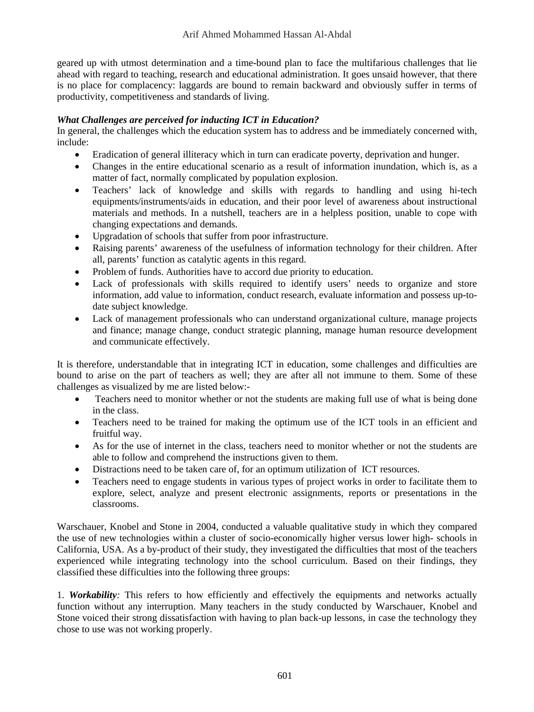geared up with utmost determination and a time-bound plan to face the multifarious challenges that lie ahead with regard to teaching, research and educational administration. It goes unsaid however, that there is no place for complacency: laggards are bound to remain backward and obviously suffer in terms of productivity, competitiveness and standards of living.

#### *What Challenges are perceived for inducting ICT in Education?*

In general, the challenges which the education system has to address and be immediately concerned with, include:

- Eradication of general illiteracy which in turn can eradicate poverty, deprivation and hunger.
- Changes in the entire educational scenario as a result of information inundation, which is, as a matter of fact, normally complicated by population explosion.
- Teachers' lack of knowledge and skills with regards to handling and using hi-tech equipments/instruments/aids in education, and their poor level of awareness about instructional materials and methods. In a nutshell, teachers are in a helpless position, unable to cope with changing expectations and demands.
- Upgradation of schools that suffer from poor infrastructure.
- Raising parents' awareness of the usefulness of information technology for their children. After all, parents' function as catalytic agents in this regard.
- Problem of funds. Authorities have to accord due priority to education.
- Lack of professionals with skills required to identify users' needs to organize and store information, add value to information, conduct research, evaluate information and possess up-todate subject knowledge.
- Lack of management professionals who can understand organizational culture, manage projects and finance; manage change, conduct strategic planning, manage human resource development and communicate effectively.

It is therefore, understandable that in integrating ICT in education, some challenges and difficulties are bound to arise on the part of teachers as well; they are after all not immune to them. Some of these challenges as visualized by me are listed below:-

- Teachers need to monitor whether or not the students are making full use of what is being done in the class.
- Teachers need to be trained for making the optimum use of the ICT tools in an efficient and fruitful way.
- As for the use of internet in the class, teachers need to monitor whether or not the students are able to follow and comprehend the instructions given to them.
- Distractions need to be taken care of, for an optimum utilization of ICT resources.
- Teachers need to engage students in various types of project works in order to facilitate them to explore, select, analyze and present electronic assignments, reports or presentations in the classrooms.

Warschauer, Knobel and Stone in 2004, conducted a valuable qualitative study in which they compared the use of new technologies within a cluster of socio-economically higher versus lower high- schools in California, USA. As a by-product of their study, they investigated the difficulties that most of the teachers experienced while integrating technology into the school curriculum. Based on their findings, they classified these difficulties into the following three groups:

1. *Workability:* This refers to how efficiently and effectively the equipments and networks actually function without any interruption. Many teachers in the study conducted by Warschauer, Knobel and Stone voiced their strong dissatisfaction with having to plan back-up lessons, in case the technology they chose to use was not working properly.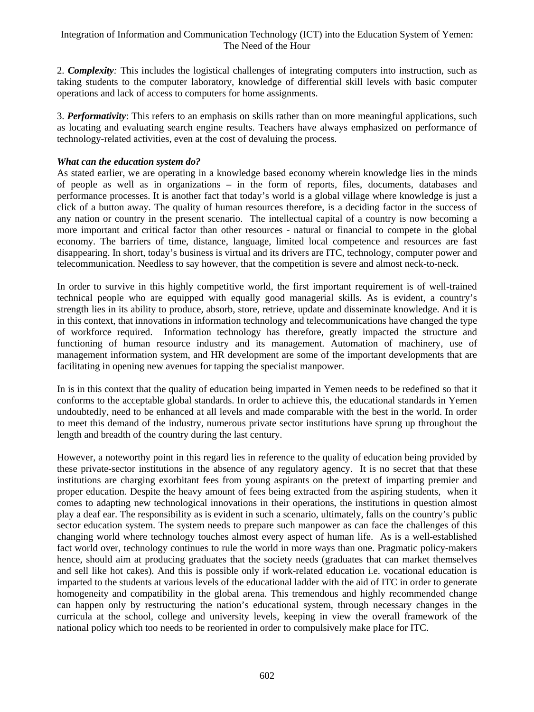2. *Complexity:* This includes the logistical challenges of integrating computers into instruction, such as taking students to the computer laboratory, knowledge of differential skill levels with basic computer operations and lack of access to computers for home assignments.

3. *Performativity*: This refers to an emphasis on skills rather than on more meaningful applications, such as locating and evaluating search engine results. Teachers have always emphasized on performance of technology-related activities, even at the cost of devaluing the process.

### *What can the education system do?*

As stated earlier, we are operating in a knowledge based economy wherein knowledge lies in the minds of people as well as in organizations – in the form of reports, files, documents, databases and performance processes. It is another fact that today's world is a global village where knowledge is just a click of a button away. The quality of human resources therefore, is a deciding factor in the success of any nation or country in the present scenario. The intellectual capital of a country is now becoming a more important and critical factor than other resources - natural or financial to compete in the global economy. The barriers of time, distance, language, limited local competence and resources are fast disappearing. In short, today's business is virtual and its drivers are ITC, technology, computer power and telecommunication. Needless to say however, that the competition is severe and almost neck-to-neck.

In order to survive in this highly competitive world, the first important requirement is of well-trained technical people who are equipped with equally good managerial skills. As is evident, a country's strength lies in its ability to produce, absorb, store, retrieve, update and disseminate knowledge. And it is in this context, that innovations in information technology and telecommunications have changed the type of workforce required. Information technology has therefore, greatly impacted the structure and functioning of human resource industry and its management. Automation of machinery, use of management information system, and HR development are some of the important developments that are facilitating in opening new avenues for tapping the specialist manpower.

In is in this context that the quality of education being imparted in Yemen needs to be redefined so that it conforms to the acceptable global standards. In order to achieve this, the educational standards in Yemen undoubtedly, need to be enhanced at all levels and made comparable with the best in the world. In order to meet this demand of the industry, numerous private sector institutions have sprung up throughout the length and breadth of the country during the last century.

However, a noteworthy point in this regard lies in reference to the quality of education being provided by these private-sector institutions in the absence of any regulatory agency. It is no secret that that these institutions are charging exorbitant fees from young aspirants on the pretext of imparting premier and proper education. Despite the heavy amount of fees being extracted from the aspiring students, when it comes to adapting new technological innovations in their operations, the institutions in question almost play a deaf ear. The responsibility as is evident in such a scenario, ultimately, falls on the country's public sector education system. The system needs to prepare such manpower as can face the challenges of this changing world where technology touches almost every aspect of human life. As is a well-established fact world over, technology continues to rule the world in more ways than one. Pragmatic policy-makers hence, should aim at producing graduates that the society needs (graduates that can market themselves and sell like hot cakes). And this is possible only if work-related education i.e. vocational education is imparted to the students at various levels of the educational ladder with the aid of ITC in order to generate homogeneity and compatibility in the global arena. This tremendous and highly recommended change can happen only by restructuring the nation's educational system, through necessary changes in the curricula at the school, college and university levels, keeping in view the overall framework of the national policy which too needs to be reoriented in order to compulsively make place for ITC.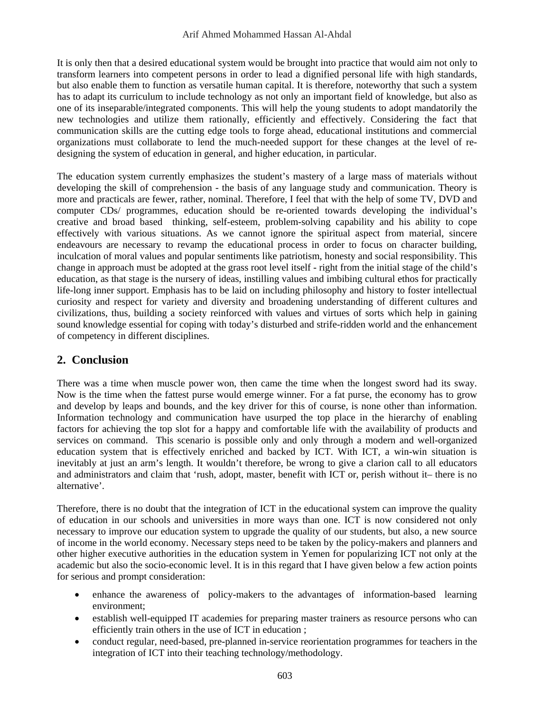It is only then that a desired educational system would be brought into practice that would aim not only to transform learners into competent persons in order to lead a dignified personal life with high standards, but also enable them to function as versatile human capital. It is therefore, noteworthy that such a system has to adapt its curriculum to include technology as not only an important field of knowledge, but also as one of its inseparable/integrated components. This will help the young students to adopt mandatorily the new technologies and utilize them rationally, efficiently and effectively. Considering the fact that communication skills are the cutting edge tools to forge ahead, educational institutions and commercial organizations must collaborate to lend the much-needed support for these changes at the level of redesigning the system of education in general, and higher education, in particular.

The education system currently emphasizes the student's mastery of a large mass of materials without developing the skill of comprehension - the basis of any language study and communication. Theory is more and practicals are fewer, rather, nominal. Therefore, I feel that with the help of some TV, DVD and computer CDs/ programmes, education should be re-oriented towards developing the individual's creative and broad based thinking, self-esteem, problem-solving capability and his ability to cope effectively with various situations. As we cannot ignore the spiritual aspect from material, sincere endeavours are necessary to revamp the educational process in order to focus on character building, inculcation of moral values and popular sentiments like patriotism, honesty and social responsibility. This change in approach must be adopted at the grass root level itself - right from the initial stage of the child's education, as that stage is the nursery of ideas, instilling values and imbibing cultural ethos for practically life-long inner support. Emphasis has to be laid on including philosophy and history to foster intellectual curiosity and respect for variety and diversity and broadening understanding of different cultures and civilizations, thus, building a society reinforced with values and virtues of sorts which help in gaining sound knowledge essential for coping with today's disturbed and strife-ridden world and the enhancement of competency in different disciplines.

# **2. Conclusion**

There was a time when muscle power won, then came the time when the longest sword had its sway. Now is the time when the fattest purse would emerge winner. For a fat purse, the economy has to grow and develop by leaps and bounds, and the key driver for this of course, is none other than information. Information technology and communication have usurped the top place in the hierarchy of enabling factors for achieving the top slot for a happy and comfortable life with the availability of products and services on command. This scenario is possible only and only through a modern and well-organized education system that is effectively enriched and backed by ICT. With ICT, a win-win situation is inevitably at just an arm's length. It wouldn't therefore, be wrong to give a clarion call to all educators and administrators and claim that 'rush, adopt, master, benefit with ICT or, perish without it– there is no alternative'.

Therefore, there is no doubt that the integration of ICT in the educational system can improve the quality of education in our schools and universities in more ways than one. ICT is now considered not only necessary to improve our education system to upgrade the quality of our students, but also, a new source of income in the world economy. Necessary steps need to be taken by the policy-makers and planners and other higher executive authorities in the education system in Yemen for popularizing ICT not only at the academic but also the socio-economic level. It is in this regard that I have given below a few action points for serious and prompt consideration:

- enhance the awareness of policy-makers to the advantages of information-based learning environment;
- establish well-equipped IT academies for preparing master trainers as resource persons who can efficiently train others in the use of ICT in education ;
- conduct regular, need-based, pre-planned in-service reorientation programmes for teachers in the integration of ICT into their teaching technology/methodology.